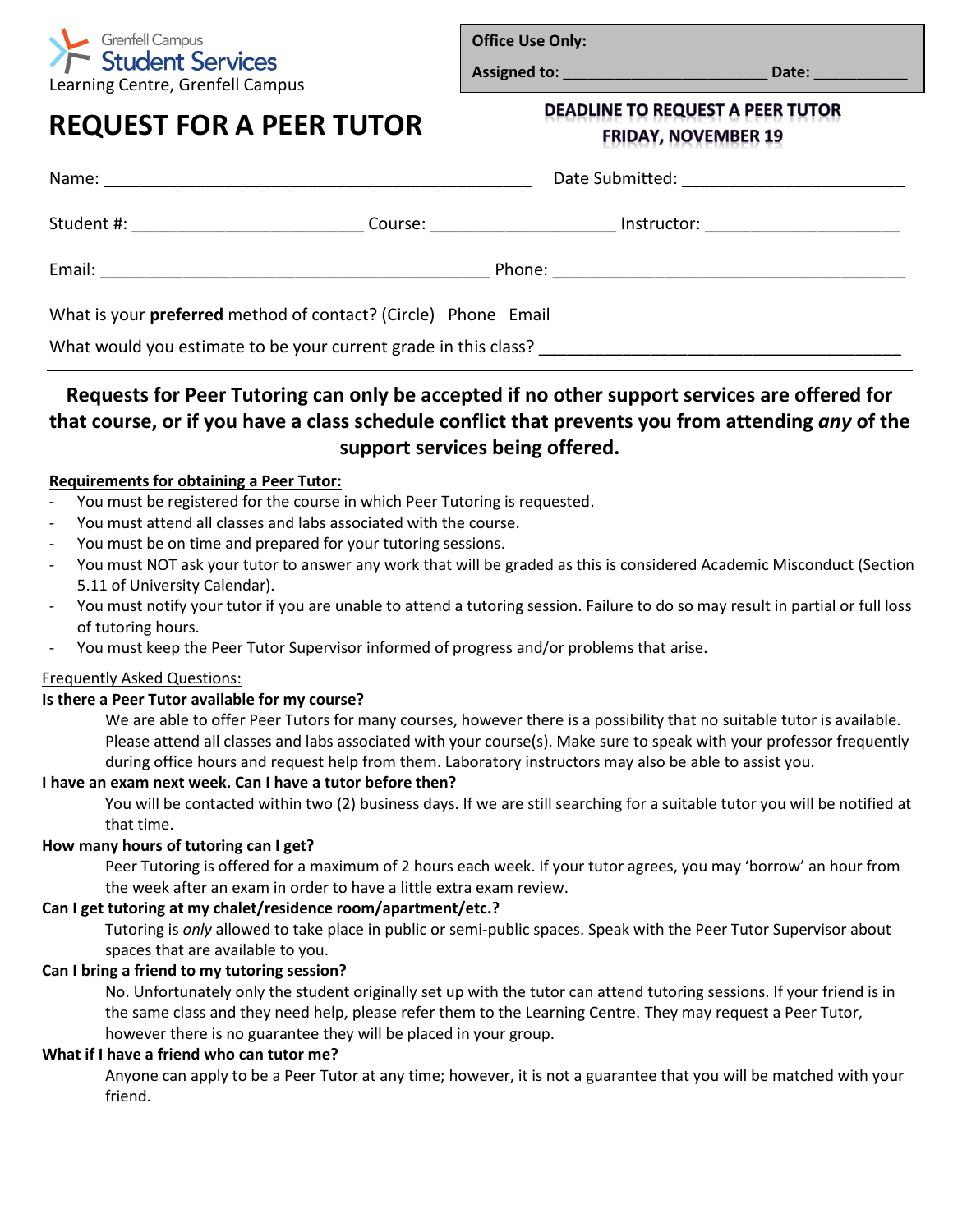

**Office Use Only:**

**Assigned to: \_\_\_\_\_\_\_\_\_\_\_\_\_\_\_\_\_\_\_\_\_\_\_\_ Date: \_\_\_\_\_\_\_\_\_\_\_**

# **REQUEST FOR A PEER TUTOR**

**DEADLINE TO REQUEST A PEER TUTOR FRIDAY, NOVEMBER 19** 

| Name:                                    | <u> 1980 - Johann Barbara, martxar argametar (h. 1980).</u>           | Date Submitted: _________________________ |  |
|------------------------------------------|-----------------------------------------------------------------------|-------------------------------------------|--|
| Student #: _____________________________ | Course: ________________                                              | Instructor: ______________________        |  |
| Email:                                   |                                                                       |                                           |  |
|                                          | What is your <b>preferred</b> method of contact? (Circle) Phone Email |                                           |  |
|                                          | What would you estimate to be your current grade in this class?       |                                           |  |

# **Requests for Peer Tutoring can only be accepted if no other support services are offered for that course, or if you have a class schedule conflict that prevents you from attending** *any* **of the support services being offered.**

# **Requirements for obtaining a Peer Tutor:**

- You must be registered for the course in which Peer Tutoring is requested.
- You must attend all classes and labs associated with the course.
- You must be on time and prepared for your tutoring sessions.
- You must NOT ask your tutor to answer any work that will be graded as this is considered Academic Misconduct (Section 5.11 of University Calendar).
- You must notify your tutor if you are unable to attend a tutoring session. Failure to do so may result in partial or full loss of tutoring hours.
- You must keep the Peer Tutor Supervisor informed of progress and/or problems that arise.

## Frequently Asked Questions:

## **Is there a Peer Tutor available for my course?**

We are able to offer Peer Tutors for many courses, however there is a possibility that no suitable tutor is available. Please attend all classes and labs associated with your course(s). Make sure to speak with your professor frequently during office hours and request help from them. Laboratory instructors may also be able to assist you.

## **I have an exam next week. Can I have a tutor before then?**

You will be contacted within two (2) business days. If we are still searching for a suitable tutor you will be notified at that time.

# **How many hours of tutoring can I get?**

Peer Tutoring is offered for a maximum of 2 hours each week. If your tutor agrees, you may 'borrow' an hour from the week after an exam in order to have a little extra exam review.

# **Can I get tutoring at my chalet/residence room/apartment/etc.?**

Tutoring is *only* allowed to take place in public or semi-public spaces. Speak with the Peer Tutor Supervisor about spaces that are available to you.

## **Can I bring a friend to my tutoring session?**

No. Unfortunately only the student originally set up with the tutor can attend tutoring sessions. If your friend is in the same class and they need help, please refer them to the Learning Centre. They may request a Peer Tutor, however there is no guarantee they will be placed in your group.

## **What if I have a friend who can tutor me?**

Anyone can apply to be a Peer Tutor at any time; however, it is not a guarantee that you will be matched with your friend.